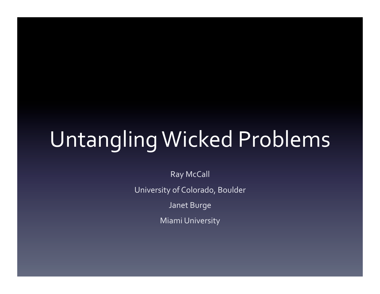# Untangling Wicked Problems

Ray McCall University of Colorado, Boulder

Janet Burge

**Miami University**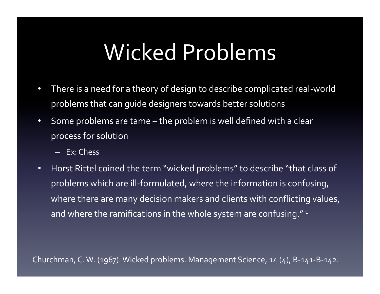# Wicked Problems

- There is a need for a theory of design to describe complicated real-world problems that can quide designers towards better solutions
- Some problems are tame the problem is well defined with a clear process for solution
	- Ex: Chess
- Horst Rittel coined the term "wicked problems" to describe "that class of problems which are ill-formulated, where the information is confusing, where there are many decision makers and clients with conflicting values, and where the ramifications in the whole system are confusing." $1$

Churchman, C. W. (1967). Wicked problems. Management Science, 14 (4), B-141-B-142.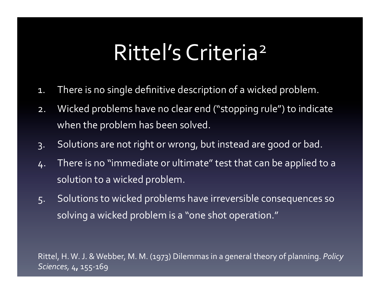### Rittel's Criteria<sup>2</sup>

- 1. There is no single definitive description of a wicked problem.
- 2. Wicked problems have no clear end ("stopping rule") to indicate when the problem has been solved.
- 3. Solutions are not right or wrong, but instead are good or bad.
- 4. There is no "immediate or ultimate" test that can be applied to a solution to a wicked problem.
- 5. Solutions to wicked problems have irreversible consequences so solving a wicked problem is a "one shot operation."

Rittel, H. W. J. & Webber, M. M. (1973) Dilemmas in a general theory of planning. *Policy Sciences,* 4**,** 155-169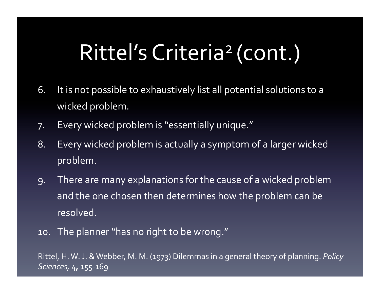# Rittel's Criteria<sup>2</sup> (cont.)

- 6. It is not possible to exhaustively list all potential solutions to a wicked problem.
- 7. Every wicked problem is "essentially unique."
- 8. Every wicked problem is actually a symptom of a larger wicked problem.
- 9. There are many explanations for the cause of a wicked problem and the one chosen then determines how the problem can be resolved.
- 10. The planner "has no right to be wrong."

Rittel, H. W. J. & Webber, M. M. (1973) Dilemmas in a general theory of planning. *Policy Sciences,* 4**,** 155-169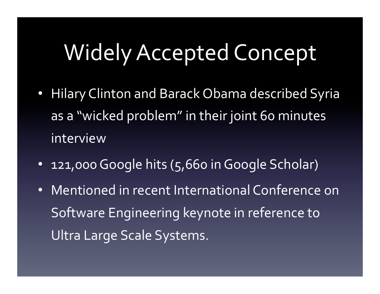#### Widely Accepted Concept

- Hilary Clinton and Barack Obama described Syria as a "wicked problem" in their joint 60 minutes interview
- 121,000 Google hits (5,660 in Google Scholar)
- Mentioned in recent International Conference on Software Engineering keynote in reference to Ultra Large Scale Systems.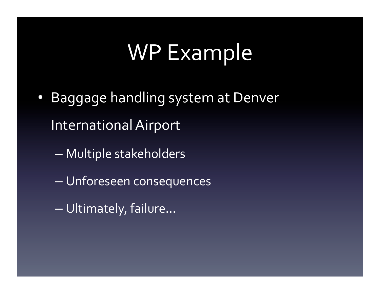#### WP Example

- Baggage handling system at Denver International Airport
	- Multiple stakeholders
	- Unforeseen consequences
	- Ultimately, failure...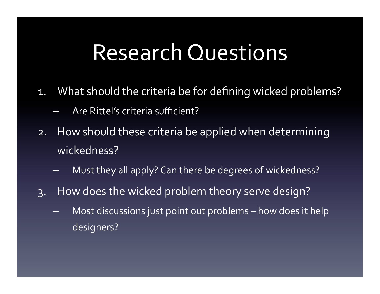#### Research Questions

- 1. What should the criteria be for defining wicked problems?
	- Are Rittel's criteria sufficient?
- 2. How should these criteria be applied when determining wickedness?
	- Must they all apply? Can there be degrees of wickedness?
- 3. How does the wicked problem theory serve design?
	- Most discussions just point out problems how does it help designers?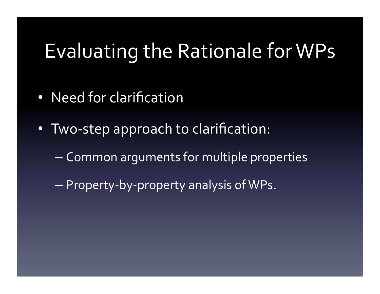#### Evaluating the Rationale for WPs

- Need for clarification
- Two-step approach to clarification:
	- Common arguments for multiple properties
	- $-$  Property-by-property analysis of WPs.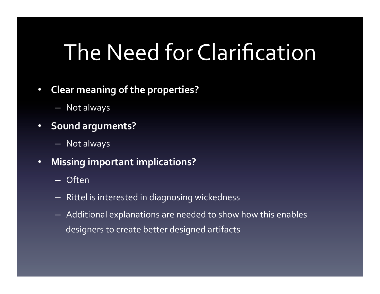# The Need for Clarification

- **Clear meaning of the properties?** 
	- Not always
- **Sound arguments?** 
	- Not always
- **Missing important implications?** 
	- Often
	- $-$  Rittel is interested in diagnosing wickedness
	- $-$  Additional explanations are needed to show how this enables designers to create better designed artifacts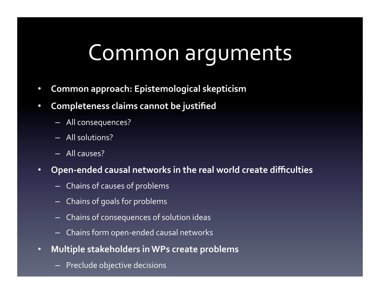### Common arguments

- **Common approach: Epistemological skepticism**
- **Completeness claims cannot be justified** 
	- All consequences?
	- All solutions?
	- All causes?
- **•** Open-ended causal networks in the real world create difficulties
	- Chains of causes of problems
	- $-$  Chains of goals for problems
	- Chains of consequences of solution ideas
	- Chains form open-ended causal networks
- **Multiple stakeholders in WPs create problems** 
	- Preclude objective decisions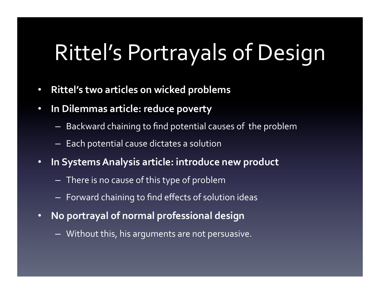# Rittel's Portrayals of Design

- **Rittel's two articles on wicked problems**
- **In Dilemmas article: reduce poverty** 
	- $-$  Backward chaining to find potential causes of the problem
	- $-$  Each potential cause dictates a solution
- **In Systems Analysis article: introduce new product** 
	- $-$  There is no cause of this type of problem
	- $-$  Forward chaining to find effects of solution ideas
- **No portrayal of normal professional design** 
	- $-$  Without this, his arguments are not persuasive.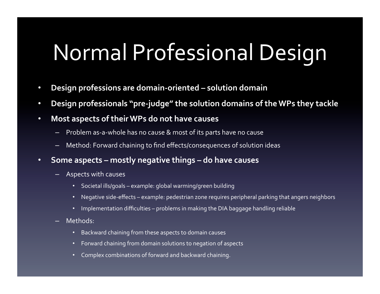# Normal Professional Design

- Design professions are domain-oriented solution domain
- Design professionals "pre-judge" the solution domains of the WPs they tackle
- **Most aspects of their WPs do not have causes** 
	- Problem as-a-whole has no cause & most of its parts have no cause
	- Method: Forward chaining to find effects/consequences of solution ideas
- **•** Some aspects mostly negative things do have causes
	- Aspects with causes
		- Societal ills/goals example: global warming/green building
		- Negative side-effects example: pedestrian zone requires peripheral parking that angers neighbors
		- Implementation difficulties problems in making the DIA baggage handling reliable
	- Methods:
		- Backward chaining from these aspects to domain causes
		- Forward chaining from domain solutions to negation of aspects
		- Complex combinations of forward and backward chaining.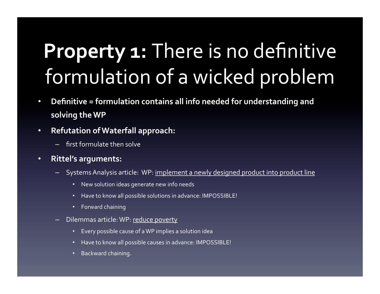## **Property 1: There is no definitive** formulation of a wicked problem

- Definitive = formulation contains all info needed for understanding and solving the WP
- **Refutation of Waterfall approach:**
	- first formulate then solve
- **•** Rittel's arguments:
	- Systems Analysis article: WP: implement a newly designed product into product line
		- New solution ideas generate new info needs
		- Have to know all possible solutions in advance: IMPOSSIBLE!
		- Forward chaining
	- Dilemmas article: WP: reduce poverty
		- Every possible cause of a WP implies a solution idea
		- Have to know all possible causes in advance: IMPOSSIBLE!
		- Backward chaining.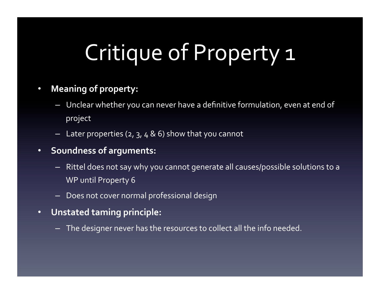# Critique of Property 1

#### • Meaning of property:

- Unclear whether you can never have a definitive formulation, even at end of project
- Later properties  $(2, 3, 4, 8, 6)$  show that you cannot
- **•** Soundness of arguments:
	- Rittel does not say why you cannot generate all causes/possible solutions to a WP until Property 6
	- Does not cover normal professional design
- **•** Unstated taming principle:
	- The designer never has the resources to collect all the info needed.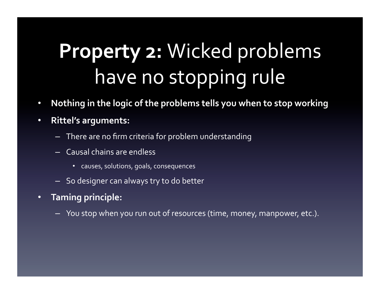# **Property 2: Wicked problems** have no stopping rule

- Nothing in the logic of the problems tells you when to stop working
- **•** Rittel's arguments:
	- There are no firm criteria for problem understanding
	- Causal chains are endless
		- causes, solutions, goals, consequences
	- So designer can always try to do better
- **•** Taming principle:
	- You stop when you run out of resources (time, money, manpower, etc.).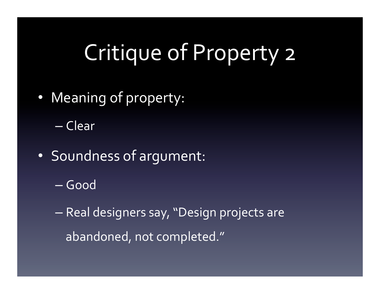# Critique of Property 2

• Meaning of property:

– Clear 

- Soundness of argument:
	- Good
	- $-$  Real designers say, "Design projects are abandoned, not completed."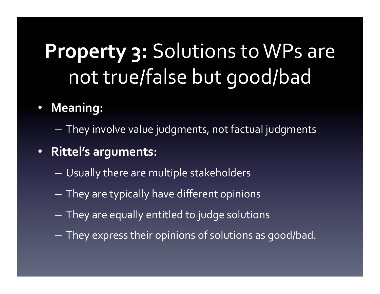# **Property 3: Solutions to WPs are** not true/false but good/bad

- **Meaning:** 
	- $-$  They involve value judgments, not factual judgments
- **Rittel's arguments:** 
	- Usually there are multiple stakeholders
	- $-$  They are typically have different opinions
	- $-$  They are equally entitled to judge solutions
	- $-$  They express their opinions of solutions as good/bad.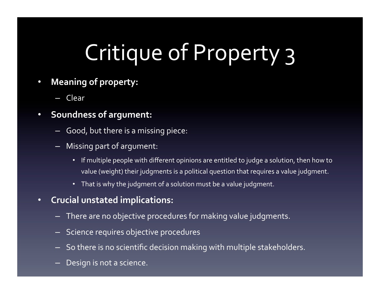# Critique of Property 3

- **Meaning of property:** 
	- Clear
- **•** Soundness of argument:
	- $-$  Good, but there is a missing piece:
	- $-$  Missing part of argument:
		- If multiple people with different opinions are entitled to judge a solution, then how to value (weight) their judgments is a political question that requires a value judgment.
		- That is why the judgment of a solution must be a value judgment.
- **Crucial unstated implications:** 
	- There are no objective procedures for making value judgments.
	- Science requires objective procedures
	- So there is no scientific decision making with multiple stakeholders.
	- Design is not a science.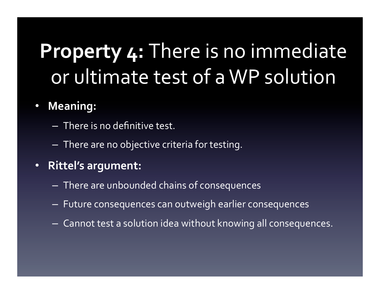### **Property 4: There is no immediate** or ultimate test of a WP solution

#### • **Meaning:**

- $-$  There is no definitive test.
- $-$  There are no objective criteria for testing.
- **•** Rittel's argument:
	- $-$  There are unbounded chains of consequences
	- $-$  Future consequences can outweigh earlier consequences
	- $-$  Cannot test a solution idea without knowing all consequences.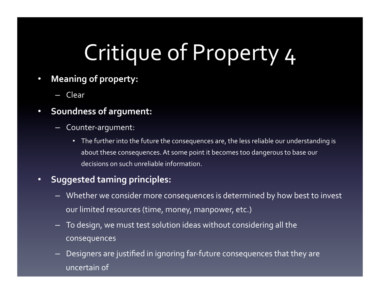# Critique of Property 4

- **Meaning of property:** 
	- Clear
- **•** Soundness of argument:
	- Counter-argument:
		- The further into the future the consequences are, the less reliable our understanding is about these consequences. At some point it becomes too dangerous to base our decisions on such unreliable information.

#### **• Suggested taming principles:**

- Whether we consider more consequences is determined by how best to invest our limited resources (time, money, manpower, etc.)
- $-$  To design, we must test solution ideas without considering all the consequences
- Designers are justified in ignoring far-future consequences that they are uncertain of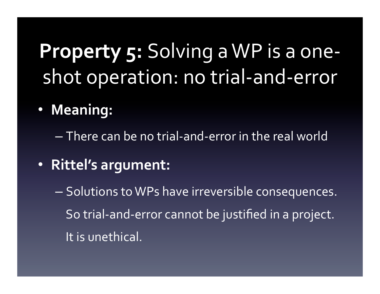### **Property 5: Solving a WP is a one**shot operation: no trial-and-error

• **Meaning:** 

 $-$  There can be no trial-and-error in the real world

- Rittel's argument:
	- $-$  Solutions to WPs have irreversible consequences. So trial-and-error cannot be justified in a project. It is unethical.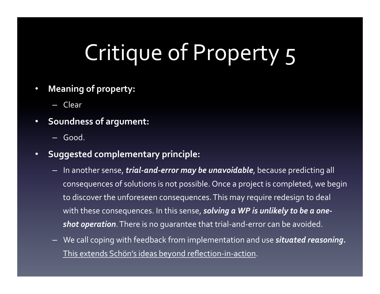# Critique of Property 5

- **Meaning of property:** 
	- Clear
- **•** Soundness of argument:
	- Good.
- **Suggested complementary principle:** 
	- $-$  In another sense, *trial-and-error may be unavoidable*, because predicting all consequences of solutions is not possible. Once a project is completed, we begin to discover the unforeseen consequences. This may require redesign to deal with these consequences. In this sense, **solving a WP is unlikely to be a oneshot operation**. There is no guarantee that trial-and-error can be avoided.
	- $-$  We call coping with feedback from implementation and use *situated reasoning.* This extends Schön's ideas beyond reflection-in-action.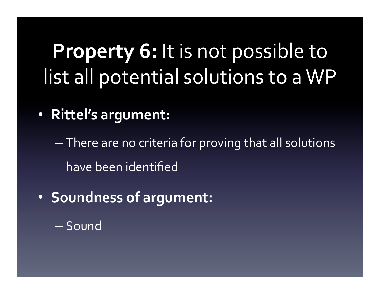### **Property 6:** It is not possible to list all potential solutions to a WP

**• Rittel's argument:** 

 $-$  There are no criteria for proving that all solutions have been identified

- **Soundness of argument:** 
	- Sound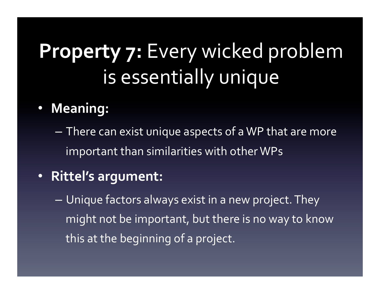## **Property 7: Every wicked problem** is essentially unique

#### • **Meaning:**

 $-$  There can exist unique aspects of a WP that are more important than similarities with other WPs

#### • Rittel's argument:

 $-$  Unique factors always exist in a new project. They might not be important, but there is no way to know this at the beginning of a project.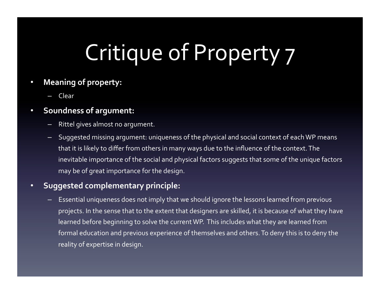# Critique of Property 7

#### **Meaning of property:**

– Clear 

#### **•** Soundness of argument:

- Rittel gives almost no argument.
- Suggested missing argument: uniqueness of the physical and social context of each WP means that it is likely to differ from others in many ways due to the influence of the context. The inevitable importance of the social and physical factors suggests that some of the unique factors may be of great importance for the design.

#### • **Suggested complementary principle:**

Essential uniqueness does not imply that we should ignore the lessons learned from previous projects. In the sense that to the extent that designers are skilled, it is because of what they have learned before beginning to solve the current WP. This includes what they are learned from formal education and previous experience of themselves and others. To deny this is to deny the reality of expertise in design.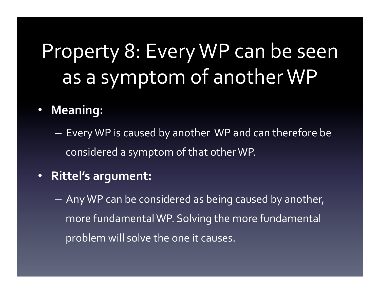#### Property 8: Every WP can be seen as a symptom of another WP

• **Meaning:** 

 $-$  Every WP is caused by another WP and can therefore be considered a symptom of that other WP.

- Rittel's argument:
	- $-$  Any WP can be considered as being caused by another, more fundamental WP. Solving the more fundamental problem will solve the one it causes.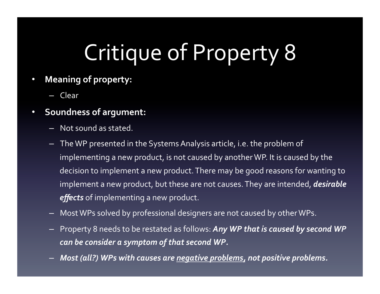# Critique of Property 8

- **•** Meaning of property:
	- Clear
- **•** Soundness of argument:
	- $-$  Not sound as stated.
	- The WP presented in the Systems Analysis article, i.e. the problem of implementing a new product, is not caused by another WP. It is caused by the decision to implement a new product. There may be good reasons for wanting to implement a new product, but these are not causes. They are intended, *desirable* effects of implementing a new product.
	- Most WPs solved by professional designers are not caused by other WPs.
	- $-$  Property 8 needs to be restated as follows: Any WP that is caused by second WP can be consider a symptom of that second WP.
	- *Most (all?)* WPs with causes are *negative problems*, not positive problems.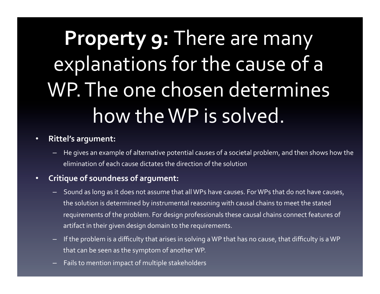# **Property 9: There are many** explanations for the cause of a WP. The one chosen determines how the WP is solved.

#### **•** Rittel's argument:

He gives an example of alternative potential causes of a societal problem, and then shows how the elimination of each cause dictates the direction of the solution

#### **•** Critique of soundness of argument:

- Sound as long as it does not assume that all WPs have causes. For WPs that do not have causes, the solution is determined by instrumental reasoning with causal chains to meet the stated requirements of the problem. For design professionals these causal chains connect features of artifact in their given design domain to the requirements.
- If the problem is a difficulty that arises in solving a WP that has no cause, that difficulty is a WP that can be seen as the symptom of another WP.
- Fails to mention impact of multiple stakeholders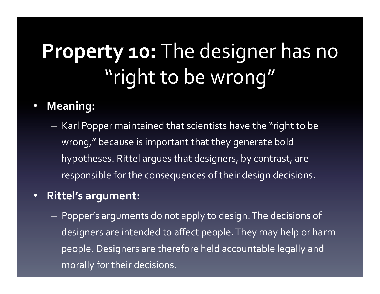## Property 10: The designer has no "right to be wrong"

#### • **Meaning:**

 $-$  Karl Popper maintained that scientists have the "right to be wrong," because is important that they generate bold hypotheses. Rittel argues that designers, by contrast, are responsible for the consequences of their design decisions.

#### **• Rittel's argument:**

 $-$  Popper's arguments do not apply to design. The decisions of designers are intended to affect people. They may help or harm people. Designers are therefore held accountable legally and morally for their decisions.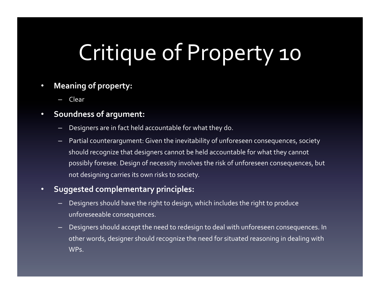# Critique of Property 10

#### **Meaning of property:**

– Clear 

#### • **Soundness of argument:**

- Designers are in fact held accountable for what they do.
- Partial counterargument: Given the inevitability of unforeseen consequences, society should recognize that designers cannot be held accountable for what they cannot possibly foresee. Design of necessity involves the risk of unforeseen consequences, but not designing carries its own risks to society.

#### • **Suggested complementary principles:**

- Designers should have the right to design, which includes the right to produce unforeseeable consequences.
- Designers should accept the need to redesign to deal with unforeseen consequences. In other words, designer should recognize the need for situated reasoning in dealing with WPs.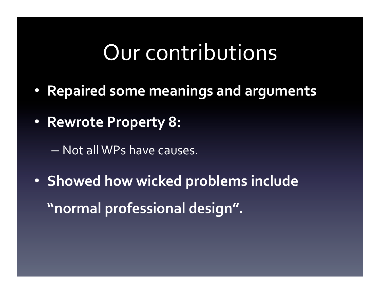#### Our contributions

- **Repaired some meanings and arguments**
- **Rewrote Property 8:** 
	- $-$  Not all WPs have causes.
- **Showed how wicked problems include** "normal professional design".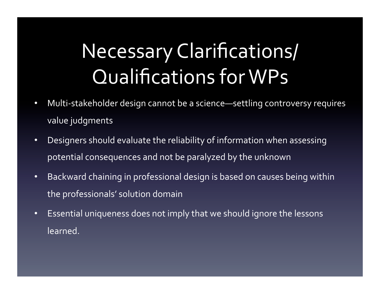## Necessary Clarifications/ Qualifications for WPs

- Multi-stakeholder design cannot be a science—settling controversy requires value judgments
- Designers should evaluate the reliability of information when assessing potential consequences and not be paralyzed by the unknown
- Backward chaining in professional design is based on causes being within the professionals' solution domain
- Essential uniqueness does not imply that we should ignore the lessons learned.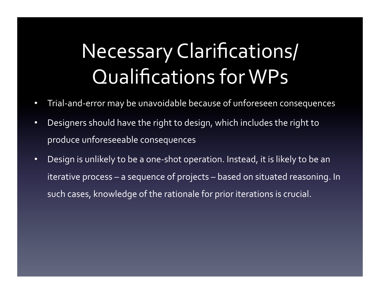## Necessary Clarifications/ Qualifications for WPs

- Trial-and-error may be unavoidable because of unforeseen consequences
- Designers should have the right to design, which includes the right to produce unforeseeable consequences
- Design is unlikely to be a one-shot operation. Instead, it is likely to be an iterative process – a sequence of projects – based on situated reasoning. In such cases, knowledge of the rationale for prior iterations is crucial.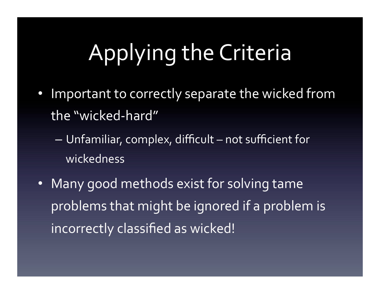# Applying the Criteria

- Important to correctly separate the wicked from the "wicked-hard"
	- Unfamiliar, complex, difficult not sufficient for wickedness
- Many good methods exist for solving tame problems that might be ignored if a problem is incorrectly classified as wicked!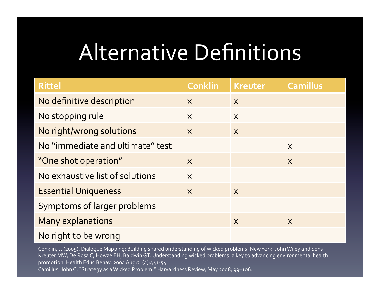# Alternative Definitions

| <b>Rittel</b>                    | <b>Conklin</b>          | <b>Kreuter</b>          | <b>Camillus</b>         |
|----------------------------------|-------------------------|-------------------------|-------------------------|
| No definitive description        | $\boldsymbol{X}$        | $\sf X$                 |                         |
| No stopping rule                 | $\mathsf{X}$            | $\overline{\mathsf{X}}$ |                         |
| No right/wrong solutions         | $\overline{\mathsf{X}}$ | $\overline{\mathsf{X}}$ |                         |
| No "immediate and ultimate" test |                         |                         | $\mathsf{X}$            |
| "One shot operation"             | $\boldsymbol{X}$        |                         | $\overline{\mathsf{X}}$ |
| No exhaustive list of solutions  | $\mathsf{X}$            |                         |                         |
| <b>Essential Uniqueness</b>      | $\overline{\mathsf{X}}$ | $\sf X$                 |                         |
| Symptoms of larger problems      |                         |                         |                         |
| <b>Many explanations</b>         |                         | X                       | $\sf X$                 |
| No right to be wrong             |                         |                         |                         |

Conklin, J. (2005). Dialogue Mapping: Building shared understanding of wicked problems. New York: John Wiley and Sons Kreuter MW, De Rosa C, Howze EH, Baldwin GT. Understanding wicked problems: a key to advancing environmental health promotion. Health Educ Behav. 2004 Aug;31(4):441-54 Camillus, John C. "Strategy as a Wicked Problem." Harvardness Review, May 2008, 99-106.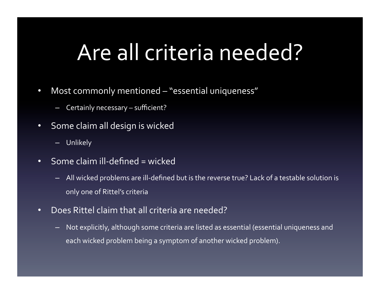## Are all criteria needed?

- Most commonly mentioned "essential uniqueness"
	- Certainly necessary sufficient?
- Some claim all design is wicked
	- Unlikely
- Some claim ill-defined = wicked
	- All wicked problems are ill-defined but is the reverse true? Lack of a testable solution is only one of Rittel's criteria
- Does Rittel claim that all criteria are needed?
	- $-$  Not explicitly, although some criteria are listed as essential (essential uniqueness and each wicked problem being a symptom of another wicked problem).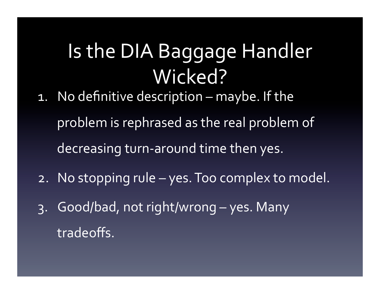### Is the DIA Baggage Handler Wicked?

- 1. No definitive description maybe. If the problem is rephrased as the real problem of decreasing turn-around time then yes.
- 2. No stopping rule yes. Too complex to model.
- $3.$  Good/bad, not right/wrong yes. Many tradeoffs.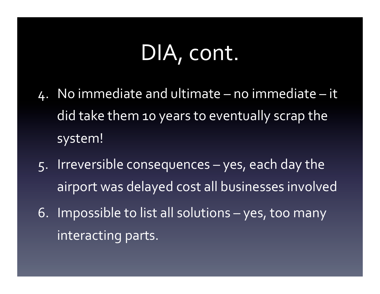### DIA, cont.

- $4.$  No immediate and ultimate no immediate it did take them 10 years to eventually scrap the system!
- 5. Irreversible consequences yes, each day the airport was delayed cost all businesses involved
- 6. Impossible to list all solutions  $-$  yes, too many interacting parts.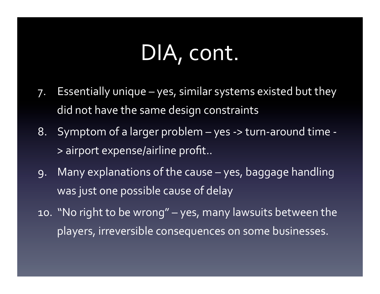### DIA, cont.

- 7. Essentially unique yes, similar systems existed but they did not have the same design constraints
- 8. Symptom of a larger problem yes -> turn-around time -> airport expense/airline profit..
- 9. Many explanations of the cause yes, baggage handling was just one possible cause of delay
- 10. "No right to be wrong" yes, many lawsuits between the players, irreversible consequences on some businesses.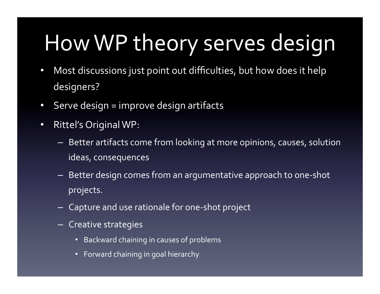# How WP theory serves design

- Most discussions just point out difficulties, but how does it help designers?
- Serve design = improve design artifacts
- Rittel's Original WP:
	- Better artifacts come from looking at more opinions, causes, solution ideas, consequences
	- $-$  Better design comes from an argumentative approach to one-shot projects.
	- $-$  Capture and use rationale for one-shot project
	- Creative strategies
		- Backward chaining in causes of problems
		- Forward chaining in goal hierarchy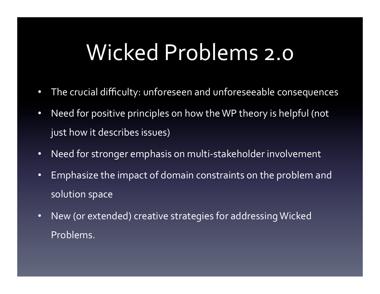#### Wicked Problems 2.0

- The crucial difficulty: unforeseen and unforeseeable consequences
- Need for positive principles on how the WP theory is helpful (not just how it describes issues)
- Need for stronger emphasis on multi-stakeholder involvement
- Emphasize the impact of domain constraints on the problem and solution space
- New (or extended) creative strategies for addressing Wicked Problems.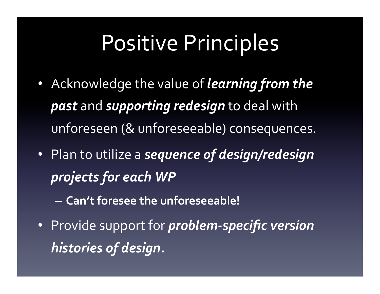## Positive Principles

- Acknowledge the value of *learning from the past* and **supporting** redesign to deal with unforeseen (& unforeseeable) consequences.
- Plan to utilize a **sequence of design/redesign** *projects for each WP* 
	- $-$  Can't foresee the unforeseeable!
- Provide support for *problem-specific version histories of design.*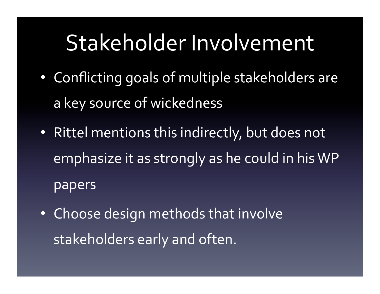# Stakeholder Involvement

- Conflicting goals of multiple stakeholders are a key source of wickedness
- Rittel mentions this indirectly, but does not emphasize it as strongly as he could in his WP papers
- Choose design methods that involve stakeholders early and often.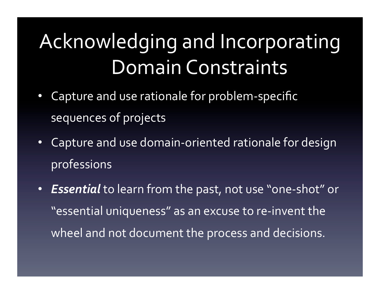## Acknowledging and Incorporating Domain Constraints

- Capture and use rationale for problem-specific sequences of projects
- Capture and use domain-oriented rationale for design professions
- **Essential** to learn from the past, not use "one-shot" or "essential uniqueness" as an excuse to re-invent the wheel and not document the process and decisions.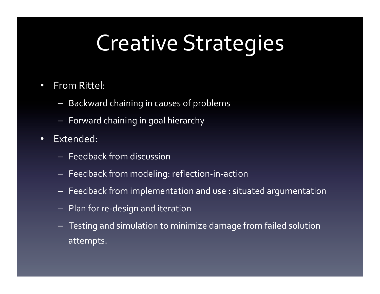# **Creative Strategies**

- From Rittel:
	- $-$  Backward chaining in causes of problems
	- $-$  Forward chaining in goal hierarchy
- Extended:
	- $-$  Feedback from discussion
	- $-$  Feedback from modeling: reflection-in-action
	- $-$  Feedback from implementation and use : situated argumentation
	- $-$  Plan for re-design and iteration
	- $-$  Testing and simulation to minimize damage from failed solution attempts.